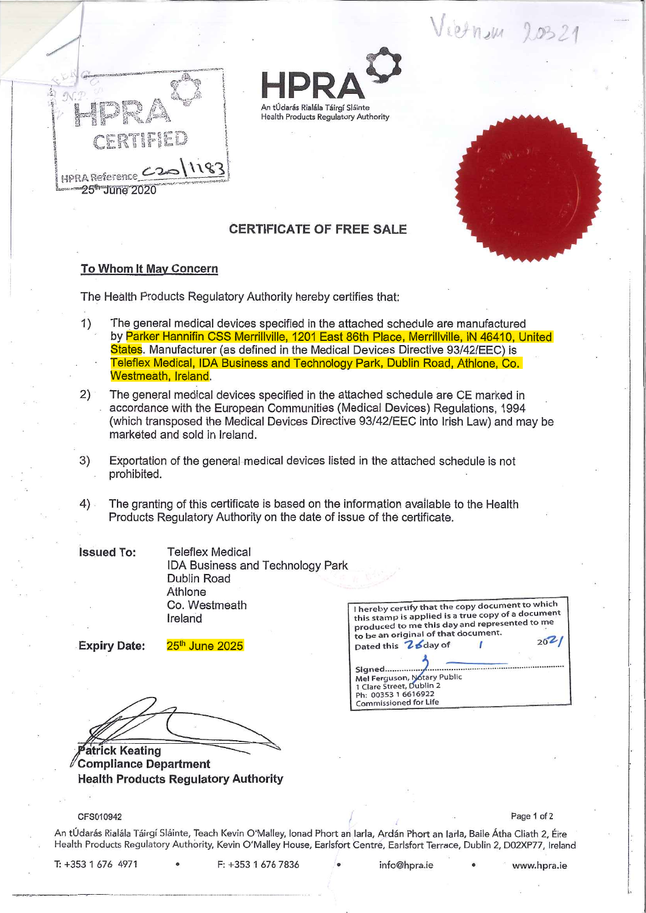Vietnam 20321



J



## **CERTIFICATE OF FREE SALE**

An tÚdarás Rialála Táirgí Sláinte Health Products Regulatory Authority

## **To Whom It May Concern**

The Health Products Regulatory Authority hereby certifies that:

- The general medical devices specified in the attached schedule are manufactured by Parker Hannifin CSS Merrillville, 1201 East 86th Place, Merrillville, IN 46410, United States. Manufacturer (as defined in the Medical Devices Directive 93/42/EEC) is Teleflex Medical, IDA Business and Technology Park, Dublin Road, Athlone, Co. Westmeath, Ireland. 1)
- The general medical devices specified in the attached schedule are CE marked in  $2)$  accordance with the European Communities (Medical Devices) Reguiations, 1994 (which transposed the Medical Devices Directive 93/42/EEC into Irish Law) and may be marketed and sold in Ireland.
- Exportation of the general medical devices listed in the attached schedule is not prohibited. 3)
- The granting of this certificate is based on the information available to the Health Products Regulatory Authority on the date of issue of the certificate.  $4)$ .

Teleflex Medical IDA Business and Technology Park Dublin Road Athlone Co. Westmeath Ireland **Issued To:** 

**Expiry Date:** 25<sup>th</sup> June 2025

**atrick Keating Compliance Department Health Products Regulatory Authority** 

| I hereby certify that the copy document to which<br>this stamp is applied is a true copy of a document<br>produced to me this day and represented to me<br>to be an original of that document. |  |
|------------------------------------------------------------------------------------------------------------------------------------------------------------------------------------------------|--|
| Dated this 26day of                                                                                                                                                                            |  |
| Signed<br>Mel Ferguson, Notary Public<br>1 Clare Street, Dublin 2<br>Ph: 00353 1 6616922<br>Commissioned for Life                                                                              |  |

## CFS010942 Page 1 of 2

An tÚdarás Rialála Táirgí Sláinte, Teach Kevin O'Malley, Ionad Phort an Iarla, Ardán Phort an Iarla, Baile Átha Cliath 2, Éire Health Products Regulatory Authority, Kevin O'Malley House, Earlsfort Centre, Earlsfort Terrace, Dublin 2, D02XP77, Irelan

T: +353 1 676 4971 • F: +353 1 676 7836 • info@hpra.ie • www.hpra.ie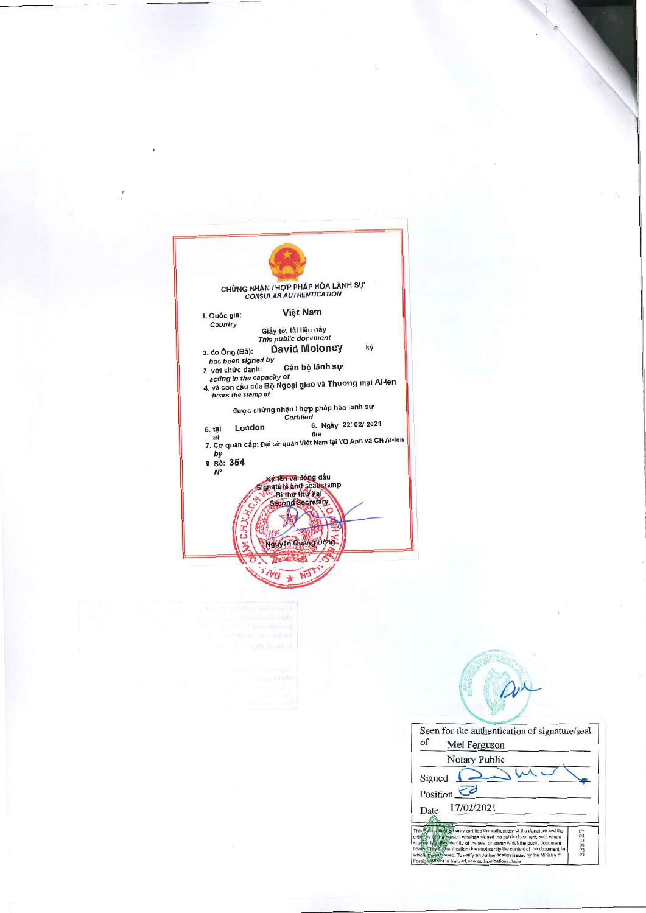| CHỨNG NHẠN / HỢP PHÁP HÓA LÃNH SỰ<br><b>CONSULAR AUTHENTICATION</b>                                                                                                                                                                                                                                                                      |  |
|------------------------------------------------------------------------------------------------------------------------------------------------------------------------------------------------------------------------------------------------------------------------------------------------------------------------------------------|--|
| Việt Nam<br>1. Quốc gia:<br>Country<br>Giấy tờ, tài liệu này<br>This public document<br><b>David Moloney</b><br>ký<br>2. do Ông (Bà):<br>has been signed by<br>Cán bộ lãnh sự<br>3. với chức danh:<br>acting in the capacity of<br>4. và con dấu của Bộ Ngoại giao và Thương mại Ai-len<br>bears the stamp of                            |  |
| được chứng nhận / hợp pháp hóa lãnh sự<br><b>Certified</b><br>6. Ngày 22/ 02/ 2021<br>London<br>5. tai<br>the<br>at<br>7. Cơ quan cấp: Đại sứ quán Việt Nam tại VQ Anh và CH Ai-len<br>by<br>8. Số: 354<br>$N^{\circ}$<br>Ký tên và đóng dấu<br>gnatute and seal/stamp<br>Bi thư thứ hai<br><b>Second Secretary</b><br>Nguyễn Quang Động |  |
|                                                                                                                                                                                                                                                                                                                                          |  |

Seen for the authentication of signature/seal  $_{\mathrm{of}}$ Mel Ferguson Notary Public  $\geq$ m.  $\sqrt{2}$ Signed\_ Position  $\overrightarrow{c}$ Date 17/02/2021 KE Apple with the state of the authenticity of the signature and the<br>scholar with the state of the state of the policing of the state of the state of the state of the state of the state of the state of the state of the state 338527